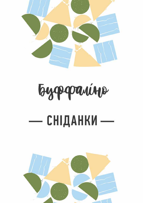

# Eyopanine **СНІДАНКИ** —

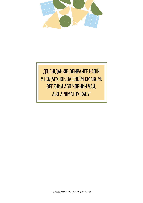

ДО СНІДАНКІВ ОБИРАЙТЕ НАПІЙ У ПОДАРУНОК ЗА СВОЇМ СМАКОМ: ЗЕЛЕНИЙ АБО ЧОРНИЙ ЧАЙ, АБО АРОМАТНУ КАВУ\*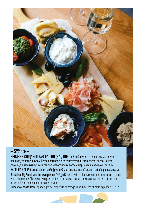

– 599 грн –

ВЕЛИКИЙ СНІДАНОК БУФФАЛІНО (НА ДВОХ): яйця Бенедикт з голандським соусом, прошуто, томати з соусом Песто,сири власного приготування: страчатела, рікота, качота двох видів, ніжний курячий паштет, малосолоний лосось, мариновані артишоки, оливки НАПОЇ НА ВИБІР: ігристе вино, грейпфрутовий або апельсиновий фреш, чай або ранкова кава.

Buffalino Big Breakfast (for two persons): Eggs Benedict with hollandaise sauce, prosciutto, tomatoes with pesto sauce, Cheese of own preparation: strachatela, ricotta, cacciota of two kinds, chicken pate, salted salmon, marinated artichokes, olives

Drinks to choose from: sparkling wine, grapefruit or orange fresh juice, tea or morning coffee • 770 g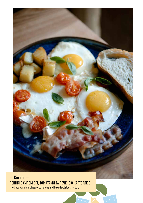

 $-154$  грн $-$ **AEWHA 3 CUPOM EPI, TOMATAMU TA REYEHOIO KAPTORITEIO**<br>Fried egg with brie cheese, tomatoes and baked potatoes • 400 g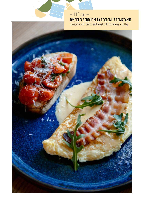$-110$  грн $-$ OMЛЕТ З БЕКОНОМ ТА ТОСТОМ ІЗ ТОМАТАМИ Omelette with bacon and toast with tomatoes • 330 g

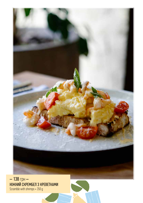

 $-138$  грн  $-$ <br>
НІЖНИЙ СКРЕМБЕЛ З КРЕВЕТКАМИ<br>
Scramble with shrimps  $\cdot$  350 g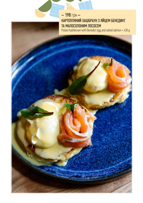# — 198 грн —<br>КАРТОПЛЯНИЙ ХАШБРАУН З ЯЙЦЕМ БЕНЕДИКТ ТА МАЛОСОЛОНИМ ЛОСОСЕМ

Potato hashbrown with Benedict egg and salted salmon • 430 g

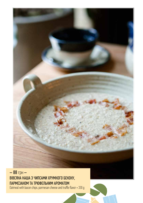

#### $-88$  грн $-$ ВІВСЯНА КАША З ЧИПСАМИ ХРУМКОГО БЕКОНУ, ПАРМЕЗАНОМ ТА ТРЮФЕЛЬНИМ АРОМАТОМ

Oatmeal with bacon chips, parmesan cheese and truffle flavor • 330 g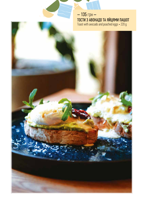$-135$  грн $-$ **TOCTИ 3 ABOKAДO TA ЯЙЦЯМИ ПАШОТ** Toast with avocado and poached eggs • 220 g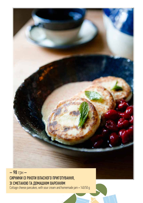

## $-98$  грн $-$ СИРНИКИ ІЗ РІКОТИ ВЛАСНОГО ПРИГОТУВАННЯ, 31 CMETAHOIO TA *QOMAWHIM BAPEHHAM*<br>Cottage cheese pancakes, with sour cream and homemade jam • 140/50 g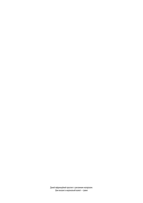Даний інформаційний проспект є рекламним матеріалом. Ціни вказані в національній валюті – гривні